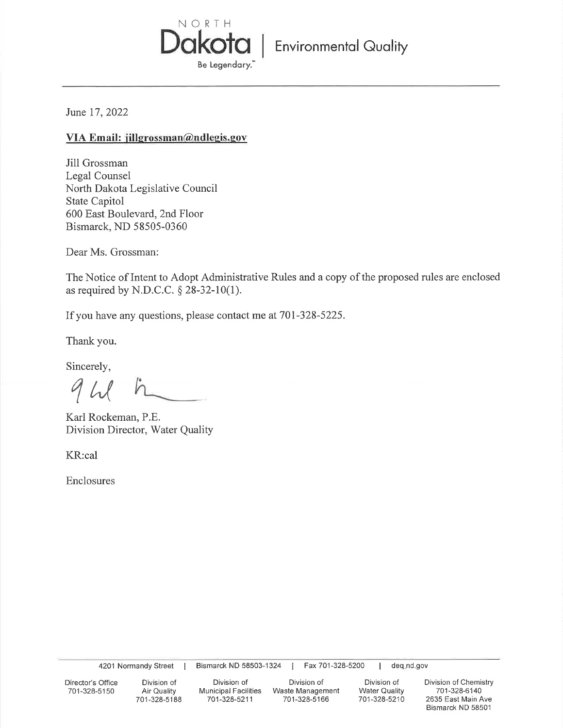

June 17, 2022

# VIA Email: jillgrossman@ndlegis.gov

Jill Grossman Legal Counsel North Dakota Legislative Council State Capitol 600 East Boulevard, 2nd Floor Bismarck, ND 58505-0360

Dear Ms. Grossman:

The Notice of Intent to Adopt Administrative Rules and a copy of the proposed rules are enclosed as required by N.D.C.C.  $\S$  28-32-10(1).

If you have any questions, please contact me at 701-328-5225.

Thank you.

Sincerely,

Karl Rockeman, P.E. Division Director, Water Quality

KR:cal

Enclosures

4201 Normandy Street |

Bismarck ND 58503-1324 | Fax 701-328-5200

| deq.nd.gov

Director's Office 701-328-5150

Division of Air Quality 701-328-5188

Division of Municipal Facilities Waste Management 701-328-5211

Division of 701-328-5166

Division of **Water Quality** 701-328-5210 Division of Chemistry 701-328-6140 2635 East Main Ave Bismarck ND 58501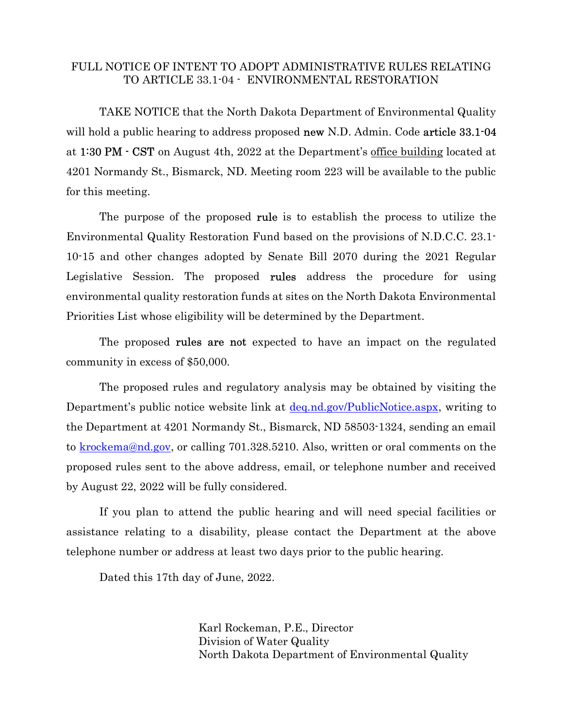### FULL NOTICE OF INTENT TO ADOPT ADMINISTRATIVE RULES RELATING TO ARTICLE 33.1-04 - ENVIRONMENTAL RESTORATION

TAKE NOTICE that the North Dakota Department of Environmental Quality will hold a public hearing to address proposed **new** N.D. Admin. Code **article 33.1-04** at 1:30 PM - CST on August 4th, 2022 at the Department's office building located at 4201 Normandy St., Bismarck, ND. Meeting room 223 will be available to the public for this meeting.

The purpose of the proposed **rule** is to establish the process to utilize the Environmental Quality Restoration Fund based on the provisions of N.D.C.C. 23.1- 10-15 and other changes adopted by Senate Bill 2070 during the 2021 Regular Legislative Session. The proposed rules address the procedure for using environmental quality restoration funds at sites on the North Dakota Environmental Priorities List whose eligibility will be determined by the Department.

The proposed **rules are not** expected to have an impact on the regulated community in excess of \$50,000.

The proposed rules and regulatory analysis may be obtained by visiting the Department's public notice website link at <u>deq.nd.gov/PublicNotice.aspx</u>, writing to the Department at 4201 Normandy St., Bismarck, ND 58503-1324, sending an email to krockema@nd.gov, or calling 701.328.5210. Also, written or oral comments on the proposed rules sent to the above address, email, or telephone number and received by August 22, 2022 will be fully considered.

If you plan to attend the public hearing and will need special facilities or assistance relating to a disability, please contact the Department at the above telephone number or address at least two days prior to the public hearing.

Dated this 17th day of June, 2022.

Karl Rockeman, P.E., Director Division of Water Quality North Dakota Department of Environmental Quality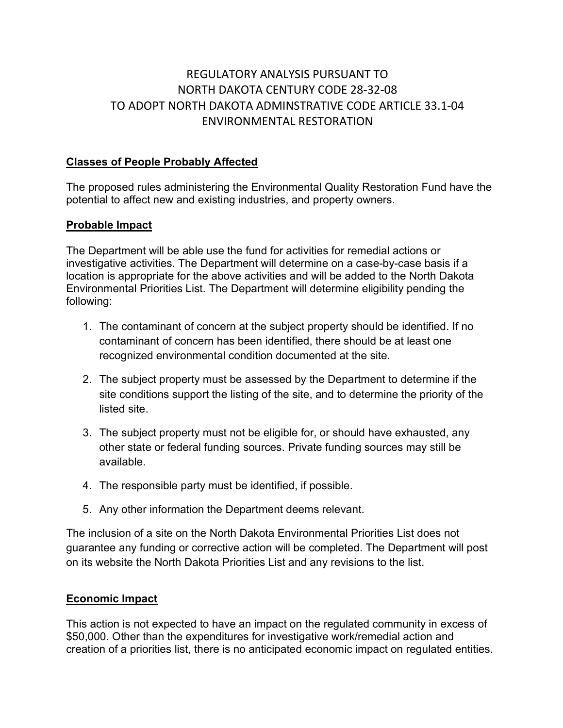# REGULATORY ANALYSIS PURSUANT TO NORTH DAKOTA CENTURY CODE 28-32-08 TO ADOPT NORTH DAKOTA ADMINSTRATIVE CODE ARTICLE 33.1-04 ENVIRONMENTAL RESTORATION

# Classes of People Probably Affected

The proposed rules administering the Environmental Quality Restoration Fund have the potential to affect new and existing industries, and property owners.

# Probable Impact

The Department will be able use the fund for activities for remedial actions or investigative activities. The Department will determine on a case-by-case basis if a location is appropriate for the above activities and will be added to the North Dakota Environmental Priorities List. The Department will determine eligibility pending the following:

- 1. The contaminant of concern at the subject property should be identified. If no contaminant of concern has been identified, there should be at least one recognized environmental condition documented at the site.
- 2. The subject property must be assessed by the Department to determine if the site conditions support the listing of the site, and to determine the priority of the listed site.
- 3. The subject property must not be eligible for, or should have exhausted, any other state or federal funding sources. Private funding sources may still be available.
- 4. The responsible party must be identified, if possible.
- 5. Any other information the Department deems relevant.

The inclusion of a site on the North Dakota Environmental Priorities List does not guarantee any funding or corrective action will be completed. The Department will post on its website the North Dakota Priorities List and any revisions to the list.

# Economic Impact

This action is not expected to have an impact on the regulated community in excess of \$50,000. Other than the expenditures for investigative work/remedial action and creation of a priorities list, there is no anticipated economic impact on regulated entities.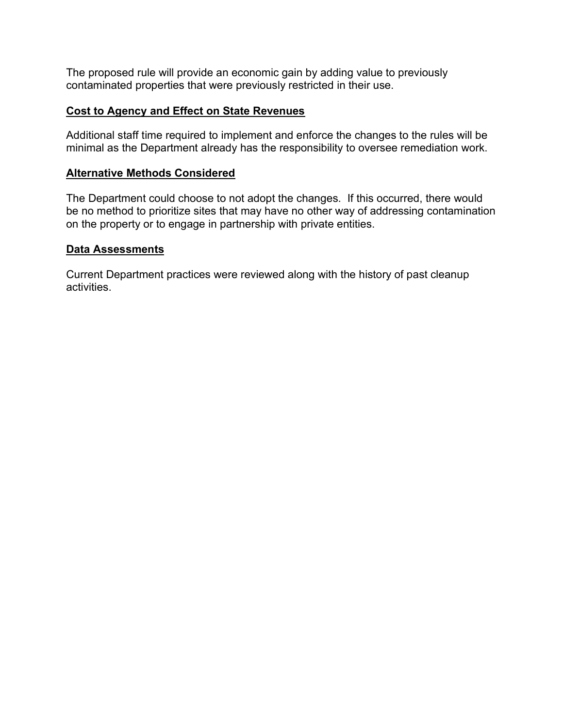The proposed rule will provide an economic gain by adding value to previously contaminated properties that were previously restricted in their use.

# Cost to Agency and Effect on State Revenues

Additional staff time required to implement and enforce the changes to the rules will be minimal as the Department already has the responsibility to oversee remediation work.

# Alternative Methods Considered

The Department could choose to not adopt the changes. If this occurred, there would be no method to prioritize sites that may have no other way of addressing contamination on the property or to engage in partnership with private entities.

# Data Assessments

Current Department practices were reviewed along with the history of past cleanup activities.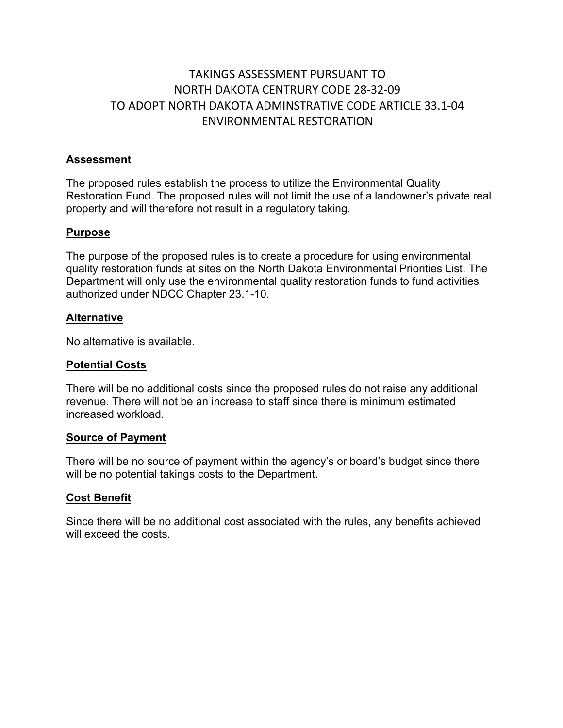# TAKINGS ASSESSMENT PURSUANT TO NORTH DAKOTA CENTRURY CODE 28-32-09 TO ADOPT NORTH DAKOTA ADMINSTRATIVE CODE ARTICLE 33.1-04 ENVIRONMENTAL RESTORATION

# Assessment

The proposed rules establish the process to utilize the Environmental Quality Restoration Fund. The proposed rules will not limit the use of a landowner's private real property and will therefore not result in a regulatory taking.

### Purpose

The purpose of the proposed rules is to create a procedure for using environmental quality restoration funds at sites on the North Dakota Environmental Priorities List. The Department will only use the environmental quality restoration funds to fund activities authorized under NDCC Chapter 23.1-10.

### Alternative

No alternative is available.

#### Potential Costs

There will be no additional costs since the proposed rules do not raise any additional revenue. There will not be an increase to staff since there is minimum estimated increased workload.

#### Source of Payment

There will be no source of payment within the agency's or board's budget since there will be no potential takings costs to the Department.

#### Cost Benefit

Since there will be no additional cost associated with the rules, any benefits achieved will exceed the costs.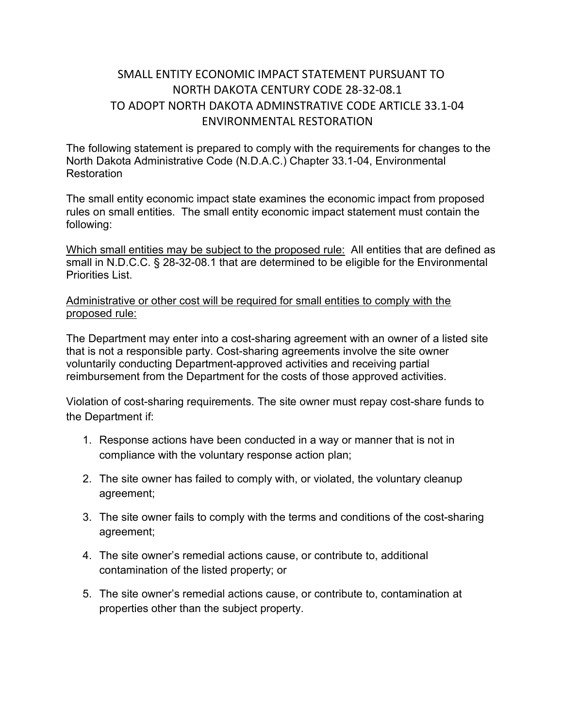# SMALL ENTITY ECONOMIC IMPACT STATEMENT PURSUANT TO NORTH DAKOTA CENTURY CODE 28-32-08.1 TO ADOPT NORTH DAKOTA ADMINSTRATIVE CODE ARTICLE 33.1-04 ENVIRONMENTAL RESTORATION

The following statement is prepared to comply with the requirements for changes to the North Dakota Administrative Code (N.D.A.C.) Chapter 33.1-04, Environmental Restoration

The small entity economic impact state examines the economic impact from proposed rules on small entities. The small entity economic impact statement must contain the following:

Which small entities may be subject to the proposed rule: All entities that are defined as small in N.D.C.C. § 28-32-08.1 that are determined to be eligible for the Environmental Priorities List.

# Administrative or other cost will be required for small entities to comply with the proposed rule:

The Department may enter into a cost-sharing agreement with an owner of a listed site that is not a responsible party. Cost-sharing agreements involve the site owner voluntarily conducting Department-approved activities and receiving partial reimbursement from the Department for the costs of those approved activities.

Violation of cost-sharing requirements. The site owner must repay cost-share funds to the Department if:

- 1. Response actions have been conducted in a way or manner that is not in compliance with the voluntary response action plan;
- 2. The site owner has failed to comply with, or violated, the voluntary cleanup agreement;
- 3. The site owner fails to comply with the terms and conditions of the cost-sharing agreement;
- 4. The site owner's remedial actions cause, or contribute to, additional contamination of the listed property; or
- 5. The site owner's remedial actions cause, or contribute to, contamination at properties other than the subject property.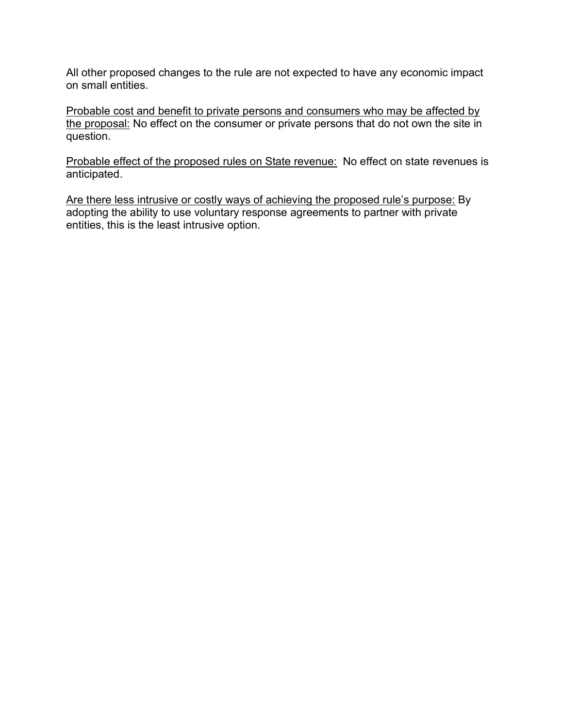All other proposed changes to the rule are not expected to have any economic impact on small entities.

Probable cost and benefit to private persons and consumers who may be affected by the proposal: No effect on the consumer or private persons that do not own the site in question.

Probable effect of the proposed rules on State revenue: No effect on state revenues is anticipated.

Are there less intrusive or costly ways of achieving the proposed rule's purpose: By adopting the ability to use voluntary response agreements to partner with private entities, this is the least intrusive option.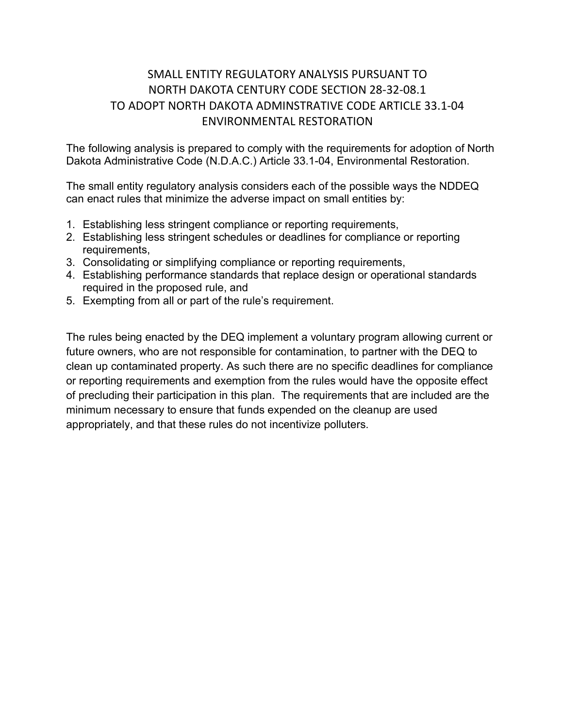# SMALL ENTITY REGULATORY ANALYSIS PURSUANT TO NORTH DAKOTA CENTURY CODE SECTION 28-32-08.1 TO ADOPT NORTH DAKOTA ADMINSTRATIVE CODE ARTICLE 33.1-04 ENVIRONMENTAL RESTORATION

The following analysis is prepared to comply with the requirements for adoption of North Dakota Administrative Code (N.D.A.C.) Article 33.1-04, Environmental Restoration.

The small entity regulatory analysis considers each of the possible ways the NDDEQ can enact rules that minimize the adverse impact on small entities by:

- 1. Establishing less stringent compliance or reporting requirements,
- 2. Establishing less stringent schedules or deadlines for compliance or reporting requirements,
- 3. Consolidating or simplifying compliance or reporting requirements,
- 4. Establishing performance standards that replace design or operational standards required in the proposed rule, and
- 5. Exempting from all or part of the rule's requirement.

The rules being enacted by the DEQ implement a voluntary program allowing current or future owners, who are not responsible for contamination, to partner with the DEQ to clean up contaminated property. As such there are no specific deadlines for compliance or reporting requirements and exemption from the rules would have the opposite effect of precluding their participation in this plan. The requirements that are included are the minimum necessary to ensure that funds expended on the cleanup are used appropriately, and that these rules do not incentivize polluters.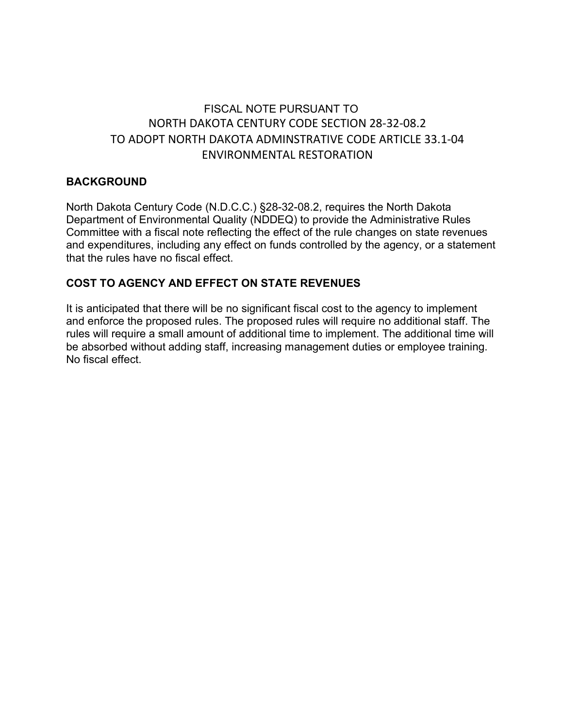# FISCAL NOTE PURSUANT TO NORTH DAKOTA CENTURY CODE SECTION 28-32-08.2 TO ADOPT NORTH DAKOTA ADMINSTRATIVE CODE ARTICLE 33.1-04 ENVIRONMENTAL RESTORATION

# BACKGROUND

North Dakota Century Code (N.D.C.C.) §28-32-08.2, requires the North Dakota Department of Environmental Quality (NDDEQ) to provide the Administrative Rules Committee with a fiscal note reflecting the effect of the rule changes on state revenues and expenditures, including any effect on funds controlled by the agency, or a statement that the rules have no fiscal effect.

# COST TO AGENCY AND EFFECT ON STATE REVENUES

It is anticipated that there will be no significant fiscal cost to the agency to implement and enforce the proposed rules. The proposed rules will require no additional staff. The rules will require a small amount of additional time to implement. The additional time will be absorbed without adding staff, increasing management duties or employee training. No fiscal effect.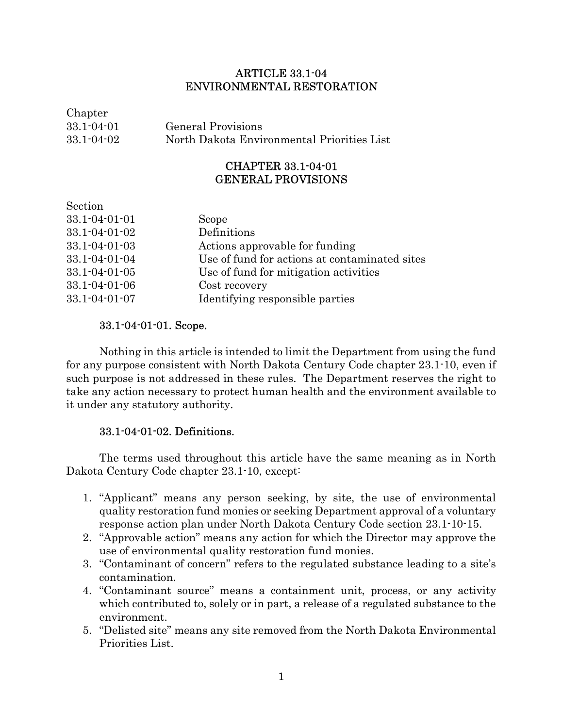# ARTICLE 33.1-04 ENVIRONMENTAL RESTORATION

| Chapter          |                                            |
|------------------|--------------------------------------------|
| $33.1 - 04 - 01$ | General Provisions                         |
| $33.1 - 04 - 02$ | North Dakota Environmental Priorities List |

# CHAPTER 33.1-04-01 GENERAL PROVISIONS

| Section               |                                               |
|-----------------------|-----------------------------------------------|
| $33.1 - 04 - 01 - 01$ | Scope                                         |
| $33.1 - 04 - 01 - 02$ | Definitions                                   |
| $33.1 - 04 - 01 - 03$ | Actions approvable for funding                |
| $33.1 - 04 - 01 - 04$ | Use of fund for actions at contaminated sites |
| $33.1 - 04 - 01 - 05$ | Use of fund for mitigation activities         |
| $33.1 - 04 - 01 - 06$ | Cost recovery                                 |
| $33.1 - 04 - 01 - 07$ | Identifying responsible parties               |

# 33.1-04-01-01. Scope.

Nothing in this article is intended to limit the Department from using the fund for any purpose consistent with North Dakota Century Code chapter 23.1-10, even if such purpose is not addressed in these rules. The Department reserves the right to take any action necessary to protect human health and the environment available to it under any statutory authority.

# 33.1-04-01-02. Definitions.

The terms used throughout this article have the same meaning as in North Dakota Century Code chapter 23.1-10, except:

- 1. "Applicant" means any person seeking, by site, the use of environmental quality restoration fund monies or seeking Department approval of a voluntary response action plan under North Dakota Century Code section 23.1-10-15.
- 2. "Approvable action" means any action for which the Director may approve the use of environmental quality restoration fund monies.
- 3. "Contaminant of concern" refers to the regulated substance leading to a site's contamination.
- 4. "Contaminant source" means a containment unit, process, or any activity which contributed to, solely or in part, a release of a regulated substance to the environment.
- 5. "Delisted site" means any site removed from the North Dakota Environmental Priorities List.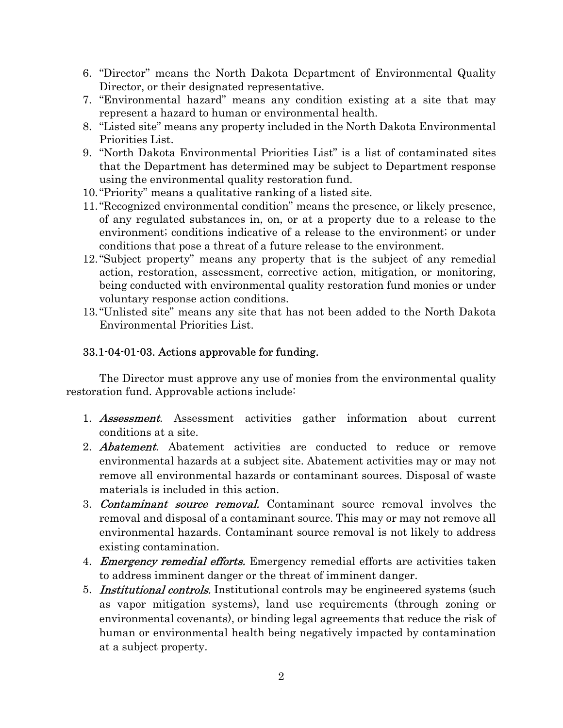- 6. "Director" means the North Dakota Department of Environmental Quality Director, or their designated representative.
- 7. "Environmental hazard" means any condition existing at a site that may represent a hazard to human or environmental health.
- 8. "Listed site" means any property included in the North Dakota Environmental Priorities List.
- 9. "North Dakota Environmental Priorities List" is a list of contaminated sites that the Department has determined may be subject to Department response using the environmental quality restoration fund.
- 10."Priority" means a qualitative ranking of a listed site.
- 11."Recognized environmental condition" means the presence, or likely presence, of any regulated substances in, on, or at a property due to a release to the environment; conditions indicative of a release to the environment; or under conditions that pose a threat of a future release to the environment.
- 12."Subject property" means any property that is the subject of any remedial action, restoration, assessment, corrective action, mitigation, or monitoring, being conducted with environmental quality restoration fund monies or under voluntary response action conditions.
- 13."Unlisted site" means any site that has not been added to the North Dakota Environmental Priorities List.

# 33.1-04-01-03. Actions approvable for funding.

 The Director must approve any use of monies from the environmental quality restoration fund. Approvable actions include:

- 1. **Assessment**. Assessment activities gather information about current conditions at a site.
- 2. **Abatement.** Abatement activities are conducted to reduce or remove environmental hazards at a subject site. Abatement activities may or may not remove all environmental hazards or contaminant sources. Disposal of waste materials is included in this action.
- 3. **Contaminant source removal.** Contaminant source removal involves the removal and disposal of a contaminant source. This may or may not remove all environmental hazards. Contaminant source removal is not likely to address existing contamination.
- 4. *Emergency remedial efforts.* Emergency remedial efforts are activities taken to address imminent danger or the threat of imminent danger.
- 5. **Institutional controls.** Institutional controls may be engineered systems (such as vapor mitigation systems), land use requirements (through zoning or environmental covenants), or binding legal agreements that reduce the risk of human or environmental health being negatively impacted by contamination at a subject property.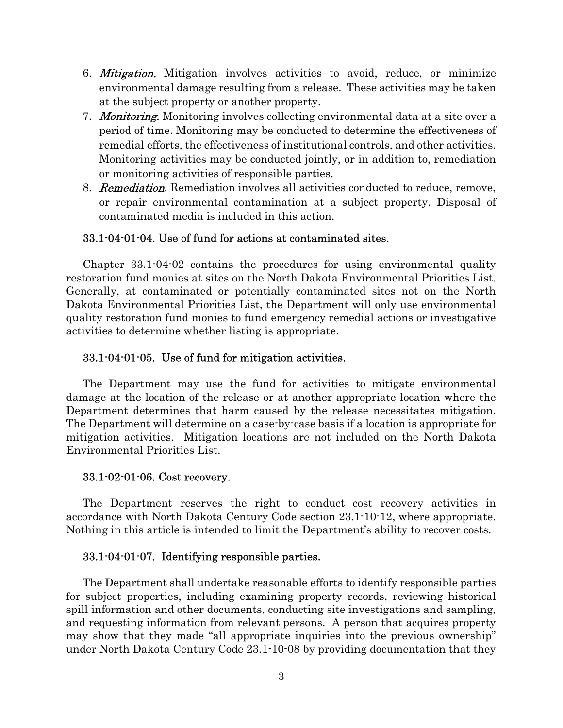- 6. *Mitigation*. Mitigation involves activities to avoid, reduce, or minimize environmental damage resulting from a release. These activities may be taken at the subject property or another property.
- 7. Monitoring. Monitoring involves collecting environmental data at a site over a period of time. Monitoring may be conducted to determine the effectiveness of remedial efforts, the effectiveness of institutional controls, and other activities. Monitoring activities may be conducted jointly, or in addition to, remediation or monitoring activities of responsible parties.
- 8. **Remediation**. Remediation involves all activities conducted to reduce, remove, or repair environmental contamination at a subject property. Disposal of contaminated media is included in this action.

### 33.1-04-01-04. Use of fund for actions at contaminated sites.

Chapter 33.1-04-02 contains the procedures for using environmental quality restoration fund monies at sites on the North Dakota Environmental Priorities List. Generally, at contaminated or potentially contaminated sites not on the North Dakota Environmental Priorities List, the Department will only use environmental quality restoration fund monies to fund emergency remedial actions or investigative activities to determine whether listing is appropriate.

#### 33.1-04-01-05. Use of fund for mitigation activities.

The Department may use the fund for activities to mitigate environmental damage at the location of the release or at another appropriate location where the Department determines that harm caused by the release necessitates mitigation. The Department will determine on a case-by-case basis if a location is appropriate for mitigation activities. Mitigation locations are not included on the North Dakota Environmental Priorities List.

#### 33.1-02-01-06. Cost recovery.

The Department reserves the right to conduct cost recovery activities in accordance with North Dakota Century Code section 23.1-10-12, where appropriate. Nothing in this article is intended to limit the Department's ability to recover costs.

#### 33.1-04-01-07. Identifying responsible parties.

The Department shall undertake reasonable efforts to identify responsible parties for subject properties, including examining property records, reviewing historical spill information and other documents, conducting site investigations and sampling, and requesting information from relevant persons. A person that acquires property may show that they made "all appropriate inquiries into the previous ownership" under North Dakota Century Code 23.1-10-08 by providing documentation that they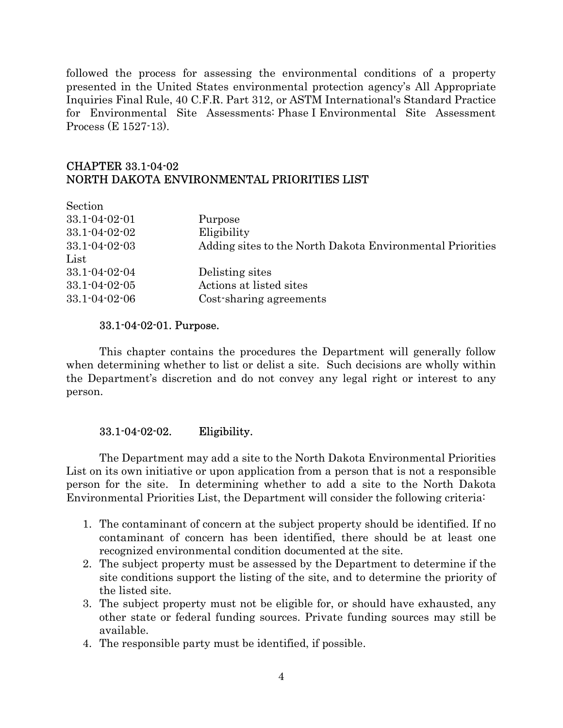followed the process for assessing the environmental conditions of a property presented in the United States environmental protection agency's All Appropriate Inquiries Final Rule, 40 C.F.R. Part 312, or ASTM International's Standard Practice for Environmental Site Assessments: Phase I Environmental Site Assessment Process (E 1527-13).

# CHAPTER 33.1-04-02 NORTH DAKOTA ENVIRONMENTAL PRIORITIES LIST

| Section               |                                                           |
|-----------------------|-----------------------------------------------------------|
| 33.1-04-02-01         | Purpose                                                   |
| 33.1-04-02-02         | Eligibility                                               |
| $33.1 - 04 - 02 - 03$ | Adding sites to the North Dakota Environmental Priorities |
| List                  |                                                           |
| $33.1 - 04 - 02 - 04$ | Delisting sites                                           |
| $33.1 - 04 - 02 - 05$ | Actions at listed sites                                   |
| $33.1 - 04 - 02 - 06$ | Cost-sharing agreements                                   |
|                       |                                                           |

#### 33.1-04-02-01. Purpose.

 This chapter contains the procedures the Department will generally follow when determining whether to list or delist a site. Such decisions are wholly within the Department's discretion and do not convey any legal right or interest to any person.

# 33.1-04-02-02. Eligibility.

 The Department may add a site to the North Dakota Environmental Priorities List on its own initiative or upon application from a person that is not a responsible person for the site. In determining whether to add a site to the North Dakota Environmental Priorities List, the Department will consider the following criteria:

- 1. The contaminant of concern at the subject property should be identified. If no contaminant of concern has been identified, there should be at least one recognized environmental condition documented at the site.
- 2. The subject property must be assessed by the Department to determine if the site conditions support the listing of the site, and to determine the priority of the listed site.
- 3. The subject property must not be eligible for, or should have exhausted, any other state or federal funding sources. Private funding sources may still be available.
- 4. The responsible party must be identified, if possible.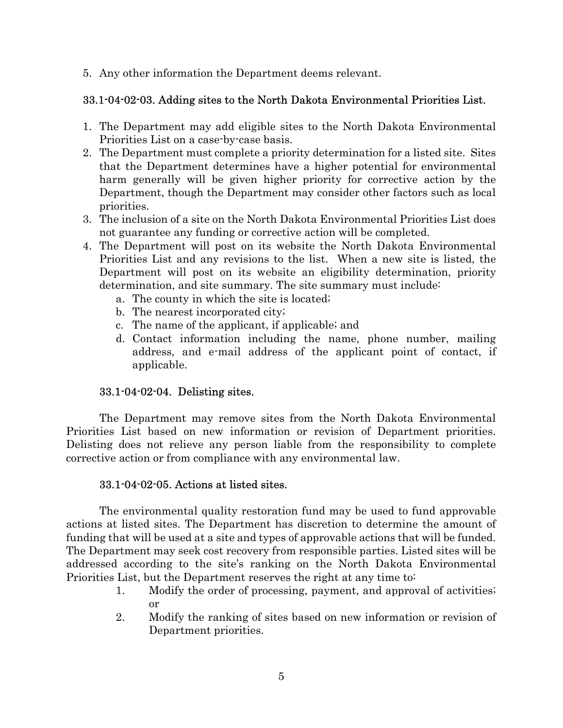5. Any other information the Department deems relevant.

# 33.1-04-02-03. Adding sites to the North Dakota Environmental Priorities List.

- 1. The Department may add eligible sites to the North Dakota Environmental Priorities List on a case-by-case basis.
- 2. The Department must complete a priority determination for a listed site. Sites that the Department determines have a higher potential for environmental harm generally will be given higher priority for corrective action by the Department, though the Department may consider other factors such as local priorities.
- 3. The inclusion of a site on the North Dakota Environmental Priorities List does not guarantee any funding or corrective action will be completed.
- 4. The Department will post on its website the North Dakota Environmental Priorities List and any revisions to the list. When a new site is listed, the Department will post on its website an eligibility determination, priority determination, and site summary. The site summary must include:
	- a. The county in which the site is located;
	- b. The nearest incorporated city;
	- c. The name of the applicant, if applicable; and
	- d. Contact information including the name, phone number, mailing address, and e-mail address of the applicant point of contact, if applicable.

# 33.1-04-02-04. Delisting sites.

The Department may remove sites from the North Dakota Environmental Priorities List based on new information or revision of Department priorities. Delisting does not relieve any person liable from the responsibility to complete corrective action or from compliance with any environmental law.

# 33.1-04-02-05. Actions at listed sites.

The environmental quality restoration fund may be used to fund approvable actions at listed sites. The Department has discretion to determine the amount of funding that will be used at a site and types of approvable actions that will be funded. The Department may seek cost recovery from responsible parties. Listed sites will be addressed according to the site's ranking on the North Dakota Environmental Priorities List, but the Department reserves the right at any time to:

- 1. Modify the order of processing, payment, and approval of activities; or
- 2. Modify the ranking of sites based on new information or revision of Department priorities.